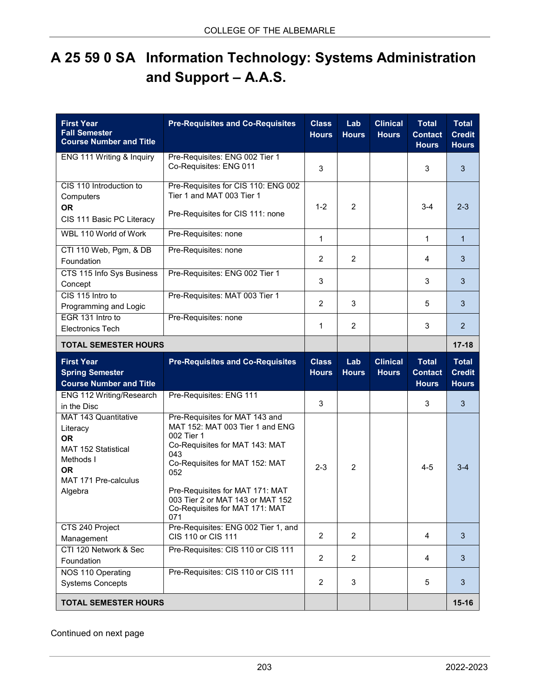## **A 25 59 0 SA Information Technology: Systems Administration and Support – A.A.S.**

| <b>First Year</b><br><b>Fall Semester</b><br><b>Course Number and Title</b>                                                              | <b>Pre-Requisites and Co-Requisites</b>                                                                                                                                                                                                                                           | <b>Class</b><br><b>Hours</b> | Lab<br><b>Hours</b> | <b>Clinical</b><br><b>Hours</b> | <b>Total</b><br><b>Contact</b><br><b>Hours</b> | <b>Total</b><br><b>Credit</b><br><b>Hours</b> |
|------------------------------------------------------------------------------------------------------------------------------------------|-----------------------------------------------------------------------------------------------------------------------------------------------------------------------------------------------------------------------------------------------------------------------------------|------------------------------|---------------------|---------------------------------|------------------------------------------------|-----------------------------------------------|
| ENG 111 Writing & Inquiry                                                                                                                | Pre-Requisites: ENG 002 Tier 1<br>Co-Requisites: ENG 011                                                                                                                                                                                                                          | 3                            |                     |                                 | 3                                              | 3                                             |
| CIS 110 Introduction to<br>Computers<br><b>OR</b><br>CIS 111 Basic PC Literacy                                                           | Pre-Requisites for CIS 110: ENG 002<br>Tier 1 and MAT 003 Tier 1<br>Pre-Requisites for CIS 111: none                                                                                                                                                                              | $1 - 2$                      | $\overline{2}$      |                                 | $3-4$                                          | $2 - 3$                                       |
| WBL 110 World of Work                                                                                                                    | Pre-Requisites: none                                                                                                                                                                                                                                                              | $\mathbf{1}$                 |                     |                                 | 1                                              | $\mathbf{1}$                                  |
| CTI 110 Web, Pgm, & DB<br>Foundation                                                                                                     | Pre-Requisites: none                                                                                                                                                                                                                                                              | $\overline{2}$               | 2                   |                                 | 4                                              | 3                                             |
| CTS 115 Info Sys Business<br>Concept                                                                                                     | Pre-Requisites: ENG 002 Tier 1                                                                                                                                                                                                                                                    | 3                            |                     |                                 | 3                                              | 3                                             |
| CIS 115 Intro to<br>Programming and Logic                                                                                                | Pre-Requisites: MAT 003 Tier 1                                                                                                                                                                                                                                                    | $\overline{2}$               | 3                   |                                 | 5                                              | 3                                             |
| EGR 131 Intro to<br><b>Electronics Tech</b>                                                                                              | Pre-Requisites: none                                                                                                                                                                                                                                                              | 1                            | 2                   |                                 | 3                                              | $\overline{2}$                                |
| <b>TOTAL SEMESTER HOURS</b>                                                                                                              |                                                                                                                                                                                                                                                                                   |                              |                     |                                 |                                                | $17 - 18$                                     |
| <b>First Year</b><br><b>Spring Semester</b><br><b>Course Number and Title</b>                                                            | <b>Pre-Requisites and Co-Requisites</b>                                                                                                                                                                                                                                           | <b>Class</b><br><b>Hours</b> | Lab<br><b>Hours</b> | <b>Clinical</b><br><b>Hours</b> | <b>Total</b><br><b>Contact</b><br><b>Hours</b> | <b>Total</b><br><b>Credit</b><br><b>Hours</b> |
| ENG 112 Writing/Research<br>in the Disc                                                                                                  | Pre-Requisites: ENG 111                                                                                                                                                                                                                                                           | 3                            |                     |                                 | 3                                              | 3                                             |
| <b>MAT 143 Quantitative</b><br>Literacy<br><b>OR</b><br>MAT 152 Statistical<br>Methods I<br><b>OR</b><br>MAT 171 Pre-calculus<br>Algebra | Pre-Requisites for MAT 143 and<br>MAT 152: MAT 003 Tier 1 and ENG<br>002 Tier 1<br>Co-Requisites for MAT 143: MAT<br>043<br>Co-Requisites for MAT 152: MAT<br>052<br>Pre-Requisites for MAT 171: MAT<br>003 Tier 2 or MAT 143 or MAT 152<br>Co-Requisites for MAT 171: MAT<br>071 | $2 - 3$                      | 2                   |                                 | $4 - 5$                                        | $3 - 4$                                       |
| CTS 240 Project<br>Management                                                                                                            | Pre-Requisites: ENG 002 Tier 1, and<br>CIS 110 or CIS 111                                                                                                                                                                                                                         | $\overline{2}$               | $\overline{2}$      |                                 | $\overline{4}$                                 | 3                                             |
| CTI 120 Network & Sec<br>Foundation                                                                                                      | Pre-Requisites: CIS 110 or CIS 111                                                                                                                                                                                                                                                | $\overline{2}$               | $\overline{2}$      |                                 | 4                                              | 3                                             |
| NOS 110 Operating<br><b>Systems Concepts</b>                                                                                             | Pre-Requisites: CIS 110 or CIS 111                                                                                                                                                                                                                                                | $\overline{2}$               | 3                   |                                 | 5                                              | 3                                             |
| <b>TOTAL SEMESTER HOURS</b>                                                                                                              |                                                                                                                                                                                                                                                                                   |                              |                     |                                 |                                                | $15 - 16$                                     |

Continued on next page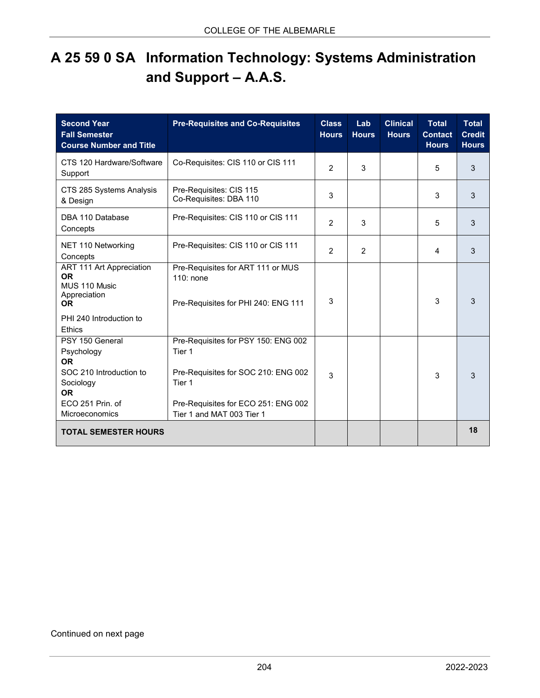## **A 25 59 0 SA Information Technology: Systems Administration and Support – A.A.S.**

| <b>Second Year</b><br><b>Fall Semester</b><br><b>Course Number and Title</b>        | <b>Pre-Requisites and Co-Requisites</b>                                                        | <b>Class</b><br><b>Hours</b> | Lab<br><b>Hours</b> | <b>Clinical</b><br><b>Hours</b> | <b>Total</b><br><b>Contact</b><br><b>Hours</b> | <b>Total</b><br><b>Credit</b><br><b>Hours</b> |
|-------------------------------------------------------------------------------------|------------------------------------------------------------------------------------------------|------------------------------|---------------------|---------------------------------|------------------------------------------------|-----------------------------------------------|
| CTS 120 Hardware/Software<br>Support                                                | Co-Requisites: CIS 110 or CIS 111                                                              | $\overline{2}$               | 3                   |                                 | 5                                              | 3                                             |
| CTS 285 Systems Analysis<br>& Design                                                | Pre-Requisites: CIS 115<br>Co-Requisites: DBA 110                                              | 3                            |                     |                                 | 3                                              | 3                                             |
| DBA 110 Database<br>Concepts                                                        | Pre-Requisites: CIS 110 or CIS 111                                                             | $\overline{2}$               | 3                   |                                 | 5                                              | 3                                             |
| NET 110 Networking<br>Concepts                                                      | Pre-Requisites: CIS 110 or CIS 111                                                             | $\overline{2}$               | $\mathcal{P}$       |                                 | 4                                              | 3                                             |
| ART 111 Art Appreciation<br><b>OR</b><br>MUS 110 Music<br>Appreciation<br><b>OR</b> | Pre-Requisites for ART 111 or MUS<br>110: none<br>Pre-Requisites for PHI 240: ENG 111          | 3                            |                     |                                 | 3                                              | 3                                             |
| PHI 240 Introduction to<br>Ethics                                                   |                                                                                                |                              |                     |                                 |                                                |                                               |
| PSY 150 General<br>Psychology<br><b>OR</b><br>SOC 210 Introduction to<br>Sociology  | Pre-Requisites for PSY 150: ENG 002<br>Tier 1<br>Pre-Requisites for SOC 210: ENG 002<br>Tier 1 | 3                            |                     |                                 | 3                                              | 3                                             |
| <b>OR</b><br>ECO 251 Prin. of<br>Microeconomics                                     | Pre-Requisites for ECO 251: ENG 002<br>Tier 1 and MAT 003 Tier 1                               |                              |                     |                                 |                                                |                                               |
| <b>TOTAL SEMESTER HOURS</b>                                                         |                                                                                                |                              |                     |                                 |                                                | 18                                            |

## Continued on next page